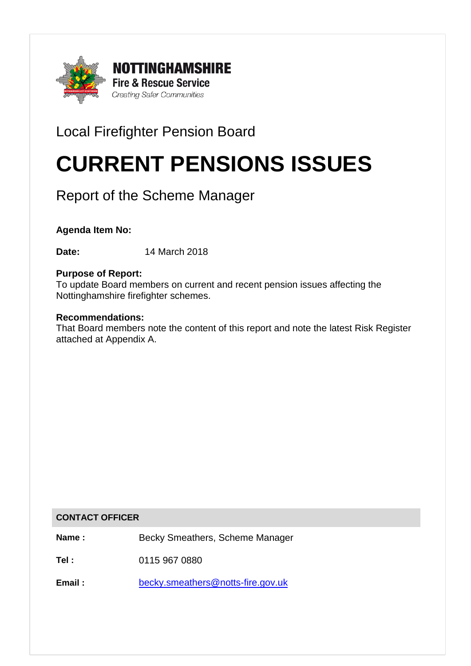

# Local Firefighter Pension Board

# CURRENT PENSIONS ISSUES

# Report of the Scheme Manager

# **Agenda Item No:**

**Date:** 14 March 2018

#### **Purpose of Report:**

To update Board members on current and recent pension issues affecting the Nottinghamshire firefighter schemes.

#### **Recommendations:**

That Board members note the content of this report and note the latest Risk Register attached at Appendix A.

#### **CONTACT OFFICER**

**Name :** Becky Smeathers, Scheme Manager

**Tel :** 0115 967 0880

**Email :** [becky.smeathers@notts-fire.gov.uk](mailto:becky.smeathers@notts-fire.gov.uk)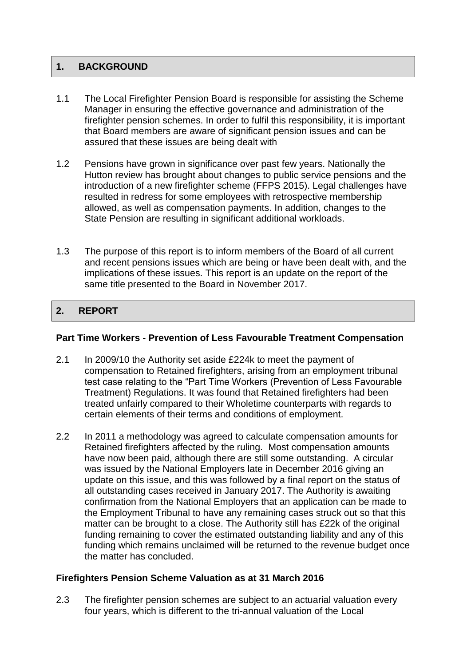# **1. BACKGROUND**

- 1.1 The Local Firefighter Pension Board is responsible for assisting the Scheme Manager in ensuring the effective governance and administration of the firefighter pension schemes. In order to fulfil this responsibility, it is important that Board members are aware of significant pension issues and can be assured that these issues are being dealt with
- 1.2 Pensions have grown in significance over past few years. Nationally the Hutton review has brought about changes to public service pensions and the introduction of a new firefighter scheme (FFPS 2015). Legal challenges have resulted in redress for some employees with retrospective membership allowed, as well as compensation payments. In addition, changes to the State Pension are resulting in significant additional workloads.
- 1.3 The purpose of this report is to inform members of the Board of all current and recent pensions issues which are being or have been dealt with, and the implications of these issues. This report is an update on the report of the same title presented to the Board in November 2017.

# 2. REPORT

#### **Part Time Workers - Prevention of Less Favourable Treatment Compensation**

- 2.1 In 2009/10 the Authority set aside £224k to meet the payment of compensation to Retained firefighters, arising from an employment tribunal test case relating to the "Part Time Workers (Prevention of Less Favourable Treatment) Regulations. It was found that Retained firefighters had been treated unfairly compared to their Wholetime counterparts with regards to certain elements of their terms and conditions of employment.
- 2.2 In 2011 a methodology was agreed to calculate compensation amounts for Retained firefighters affected by the ruling. Most compensation amounts have now been paid, although there are still some outstanding. A circular was issued by the National Employers late in December 2016 giving an update on this issue, and this was followed by a final report on the status of all outstanding cases received in January 2017. The Authority is awaiting confirmation from the National Employers that an application can be made to the Employment Tribunal to have any remaining cases struck out so that this matter can be brought to a close. The Authority still has £22k of the original funding remaining to cover the estimated outstanding liability and any of this funding which remains unclaimed will be returned to the revenue budget once the matter has concluded.

## **Firefighters Pension Scheme Valuation as at 31 March 2016**

2.3 The firefighter pension schemes are subject to an actuarial valuation every four years, which is different to the tri-annual valuation of the Local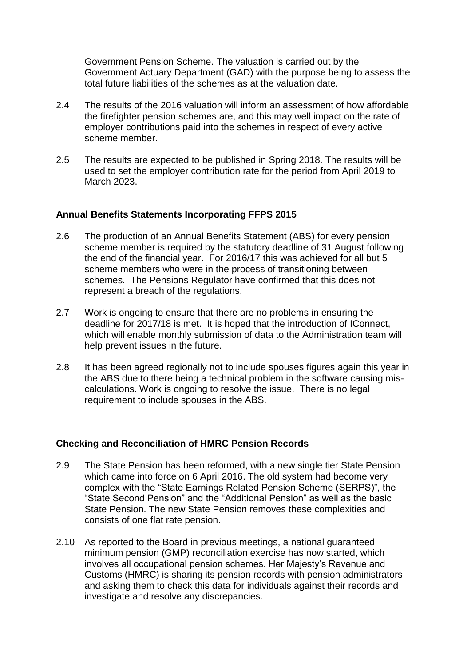Government Pension Scheme. The valuation is carried out by the Government Actuary Department (GAD) with the purpose being to assess the total future liabilities of the schemes as at the valuation date.

- 2.4 The results of the 2016 valuation will inform an assessment of how affordable the firefighter pension schemes are, and this may well impact on the rate of employer contributions paid into the schemes in respect of every active scheme member.
- 2.5 The results are expected to be published in Spring 2018. The results will be used to set the employer contribution rate for the period from April 2019 to March 2023.

#### **Annual Benefits Statements Incorporating FFPS 2015**

- 2.6 The production of an Annual Benefits Statement (ABS) for every pension scheme member is required by the statutory deadline of 31 August following the end of the financial year. For 2016/17 this was achieved for all but 5 scheme members who were in the process of transitioning between schemes. The Pensions Regulator have confirmed that this does not represent a breach of the regulations.
- 2.7 Work is ongoing to ensure that there are no problems in ensuring the deadline for 2017/18 is met. It is hoped that the introduction of IConnect, which will enable monthly submission of data to the Administration team will help prevent issues in the future.
- 2.8 It has been agreed regionally not to include spouses figures again this year in the ABS due to there being a technical problem in the software causing miscalculations. Work is ongoing to resolve the issue. There is no legal requirement to include spouses in the ABS.

## **Checking and Reconciliation of HMRC Pension Records**

- 2.9 The State Pension has been reformed, with a new single tier State Pension which came into force on 6 April 2016. The old system had become very complex with the "State Earnings Related Pension Scheme (SERPS)", the "State Second Pension" and the "Additional Pension" as well as the basic State Pension. The new State Pension removes these complexities and consists of one flat rate pension.
- 2.10 As reported to the Board in previous meetings, a national guaranteed minimum pension (GMP) reconciliation exercise has now started, which involves all occupational pension schemes. Her Majesty's Revenue and Customs (HMRC) is sharing its pension records with pension administrators and asking them to check this data for individuals against their records and investigate and resolve any discrepancies.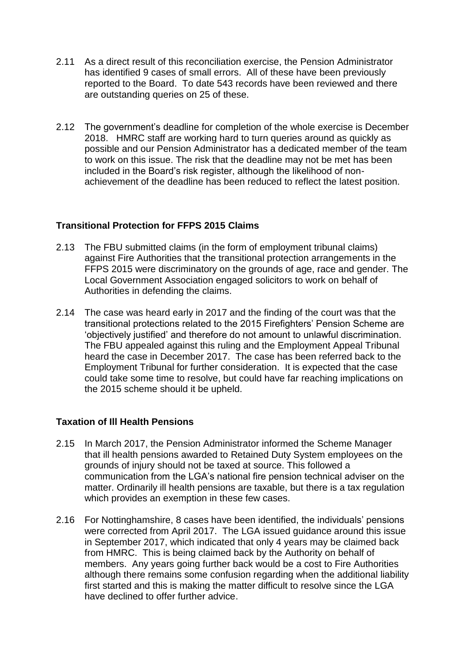- 2.11 As a direct result of this reconciliation exercise, the Pension Administrator has identified 9 cases of small errors. All of these have been previously reported to the Board. To date 543 records have been reviewed and there are outstanding queries on 25 of these.
- 2.12 The government's deadline for completion of the whole exercise is December 2018. HMRC staff are working hard to turn queries around as quickly as possible and our Pension Administrator has a dedicated member of the team to work on this issue. The risk that the deadline may not be met has been included in the Board's risk register, although the likelihood of nonachievement of the deadline has been reduced to reflect the latest position.

#### **Transitional Protection for FFPS 2015 Claims**

- 2.13 The FBU submitted claims (in the form of employment tribunal claims) against Fire Authorities that the transitional protection arrangements in the FFPS 2015 were discriminatory on the grounds of age, race and gender. The Local Government Association engaged solicitors to work on behalf of Authorities in defending the claims.
- 2.14 The case was heard early in 2017 and the finding of the court was that the transitional protections related to the 2015 Firefighters' Pension Scheme are 'objectively justified' and therefore do not amount to unlawful discrimination. The FBU appealed against this ruling and the Employment Appeal Tribunal heard the case in December 2017. The case has been referred back to the Employment Tribunal for further consideration. It is expected that the case could take some time to resolve, but could have far reaching implications on the 2015 scheme should it be upheld.

#### **Taxation of Ill Health Pensions**

- 2.15 In March 2017, the Pension Administrator informed the Scheme Manager that ill health pensions awarded to Retained Duty System employees on the grounds of injury should not be taxed at source. This followed a communication from the LGA's national fire pension technical adviser on the matter. Ordinarily ill health pensions are taxable, but there is a tax regulation which provides an exemption in these few cases.
- 2.16 For Nottinghamshire, 8 cases have been identified, the individuals' pensions were corrected from April 2017. The LGA issued guidance around this issue in September 2017, which indicated that only 4 years may be claimed back from HMRC. This is being claimed back by the Authority on behalf of members. Any years going further back would be a cost to Fire Authorities although there remains some confusion regarding when the additional liability first started and this is making the matter difficult to resolve since the LGA have declined to offer further advice.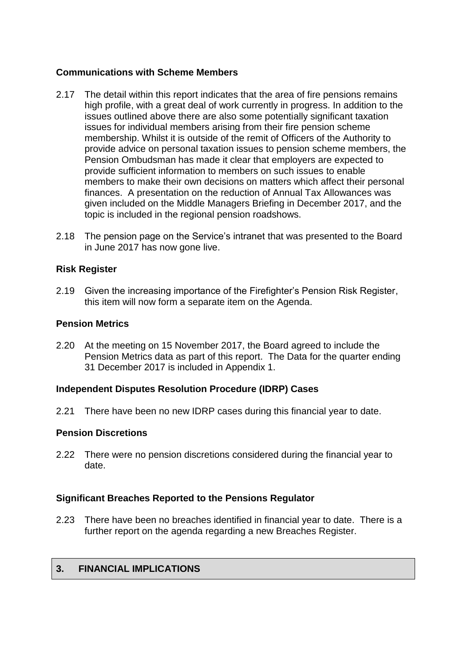#### **Communications with Scheme Members**

- 2.17 The detail within this report indicates that the area of fire pensions remains high profile, with a great deal of work currently in progress. In addition to the issues outlined above there are also some potentially significant taxation issues for individual members arising from their fire pension scheme membership. Whilst it is outside of the remit of Officers of the Authority to provide advice on personal taxation issues to pension scheme members, the Pension Ombudsman has made it clear that employers are expected to provide sufficient information to members on such issues to enable members to make their own decisions on matters which affect their personal finances. A presentation on the reduction of Annual Tax Allowances was given included on the Middle Managers Briefing in December 2017, and the topic is included in the regional pension roadshows.
- 2.18 The pension page on the Service's intranet that was presented to the Board in June 2017 has now gone live.

#### **Risk Register**

2.19 Given the increasing importance of the Firefighter's Pension Risk Register, this item will now form a separate item on the Agenda.

#### **Pension Metrics**

2.20 At the meeting on 15 November 2017, the Board agreed to include the Pension Metrics data as part of this report. The Data for the quarter ending 31 December 2017 is included in Appendix 1.

#### **Independent Disputes Resolution Procedure (IDRP) Cases**

2.21 There have been no new IDRP cases during this financial year to date.

#### **Pension Discretions**

2.22 There were no pension discretions considered during the financial year to date.

#### **Significant Breaches Reported to the Pensions Regulator**

2.23 There have been no breaches identified in financial year to date. There is a further report on the agenda regarding a new Breaches Register.

#### **3. FINANCIAL IMPLICATIONS**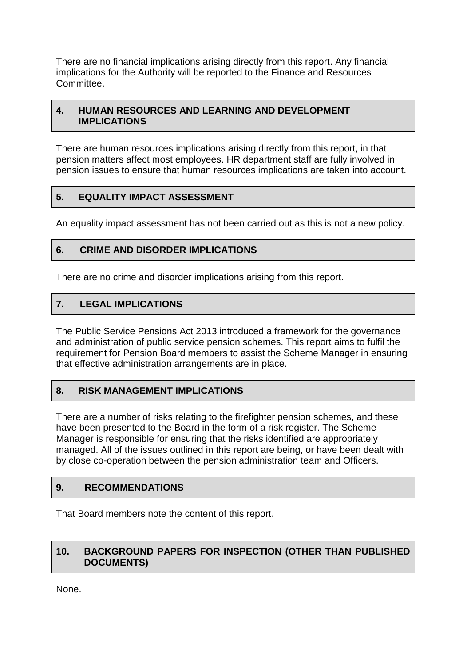There are no financial implications arising directly from this report. Any financial implications for the Authority will be reported to the Finance and Resources Committee.

#### **4. HUMAN RESOURCES AND LEARNING AND DEVELOPMENT IMPLICATIONS**

There are human resources implications arising directly from this report, in that pension matters affect most employees. HR department staff are fully involved in pension issues to ensure that human resources implications are taken into account.

# **5. EQUALITY IMPACT ASSESSMENT**

An equality impact assessment has not been carried out as this is not a new policy.

## **6. CRIME AND DISORDER IMPLICATIONS**

There are no crime and disorder implications arising from this report.

# **7. LEGAL IMPLICATIONS**

The Public Service Pensions Act 2013 introduced a framework for the governance and administration of public service pension schemes. This report aims to fulfil the requirement for Pension Board members to assist the Scheme Manager in ensuring that effective administration arrangements are in place.

# **8. RISK MANAGEMENT IMPLICATIONS**

There are a number of risks relating to the firefighter pension schemes, and these have been presented to the Board in the form of a risk register. The Scheme Manager is responsible for ensuring that the risks identified are appropriately managed. All of the issues outlined in this report are being, or have been dealt with by close co-operation between the pension administration team and Officers.

## **9. RECOMMENDATIONS**

That Board members note the content of this report.

# **10. BACKGROUND PAPERS FOR INSPECTION (OTHER THAN PUBLISHED DOCUMENTS)**

None.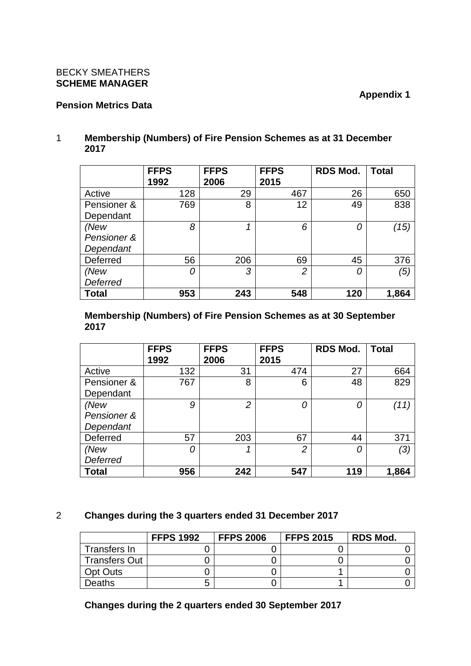#### BECKY SMEATHERS **SCHEME MANAGER**

#### **Pension Metrics Data**

#### 1 **Membership (Numbers) of Fire Pension Schemes as at 31 December 2017**

|                 | <b>FFPS</b> | <b>FFPS</b> | <b>FFPS</b>    | <b>RDS Mod.</b> | <b>Total</b> |
|-----------------|-------------|-------------|----------------|-----------------|--------------|
|                 | 1992        | 2006        | 2015           |                 |              |
| Active          | 128         | 29          | 467            | 26              | 650          |
| Pensioner &     | 769         | 8           | 12             | 49              | 838          |
| Dependant       |             |             |                |                 |              |
| (New            | 8           |             | 6              | 0               | (15)         |
| Pensioner &     |             |             |                |                 |              |
| Dependant       |             |             |                |                 |              |
| Deferred        | 56          | 206         | 69             | 45              | 376          |
| (New            | 0           | 3           | $\overline{2}$ | 0               | (5)          |
| <b>Deferred</b> |             |             |                |                 |              |
| <b>Total</b>    | 953         | 243         | 548            | 120             | 1,864        |

#### **Membership (Numbers) of Fire Pension Schemes as at 30 September 2017**

|                 | <b>FFPS</b> | <b>FFPS</b>    | <b>FFPS</b>    | <b>RDS Mod.</b> | <b>Total</b> |
|-----------------|-------------|----------------|----------------|-----------------|--------------|
|                 | 1992        | 2006           | 2015           |                 |              |
| Active          | 132         | 31             | 474            | 27              | 664          |
| Pensioner &     | 767         | 8              | 6              | 48              | 829          |
| Dependant       |             |                |                |                 |              |
| (New            | 9           | $\overline{2}$ | 0              | 0               | (11)         |
| Pensioner &     |             |                |                |                 |              |
| Dependant       |             |                |                |                 |              |
| Deferred        | 57          | 203            | 67             | 44              | 371          |
| (New            | 0           |                | $\overline{2}$ | 0               | (3)          |
| <b>Deferred</b> |             |                |                |                 |              |
| <b>Total</b>    | 956         | 242            | 547            | 119             | 1,864        |

## 2 **Changes during the 3 quarters ended 31 December 2017**

|                      | <b>FFPS 1992</b> | <b>FFPS 2006</b> | <b>FFPS 2015</b> | <b>RDS Mod.</b> |
|----------------------|------------------|------------------|------------------|-----------------|
| Transfers In         |                  |                  |                  |                 |
| <b>Transfers Out</b> |                  |                  |                  |                 |
| <b>Opt Outs</b>      |                  |                  |                  |                 |
| Deaths               | ∽                |                  |                  |                 |

**Changes during the 2 quarters ended 30 September 2017**